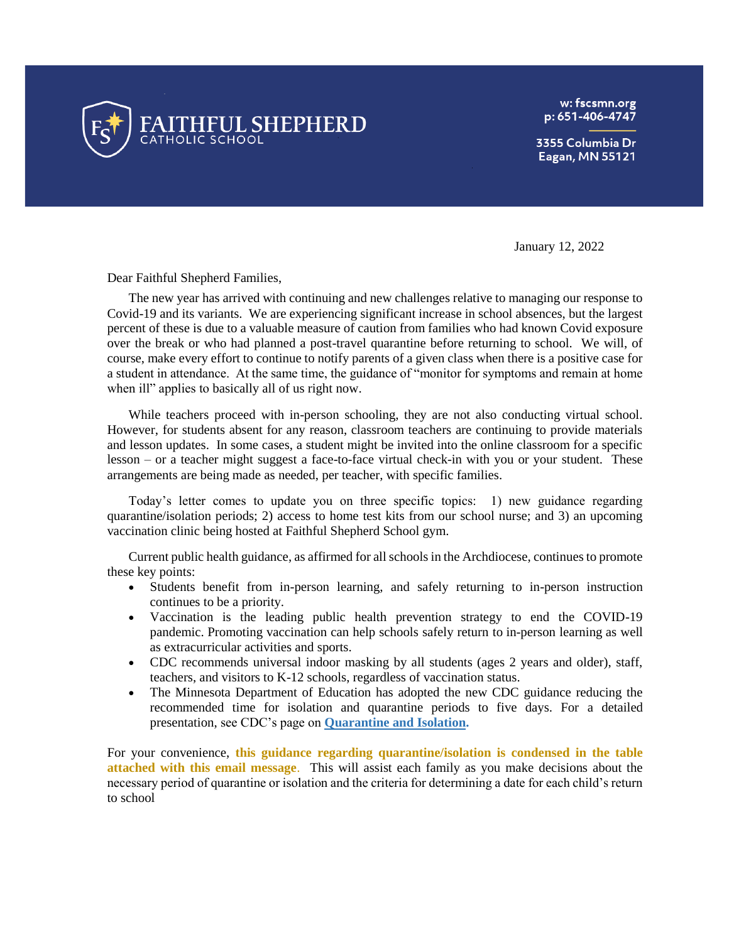

w: fscsmn.org p: 651-406-4747

3355 Columbia Dr Eagan, MN 55121

January 12, 2022

Dear Faithful Shepherd Families,

The new year has arrived with continuing and new challenges relative to managing our response to Covid-19 and its variants. We are experiencing significant increase in school absences, but the largest percent of these is due to a valuable measure of caution from families who had known Covid exposure over the break or who had planned a post-travel quarantine before returning to school. We will, of course, make every effort to continue to notify parents of a given class when there is a positive case for a student in attendance. At the same time, the guidance of "monitor for symptoms and remain at home when ill" applies to basically all of us right now.

While teachers proceed with in-person schooling, they are not also conducting virtual school. However, for students absent for any reason, classroom teachers are continuing to provide materials and lesson updates. In some cases, a student might be invited into the online classroom for a specific lesson – or a teacher might suggest a face-to-face virtual check-in with you or your student. These arrangements are being made as needed, per teacher, with specific families.

 Today's letter comes to update you on three specific topics: 1) new guidance regarding quarantine/isolation periods; 2) access to home test kits from our school nurse; and 3) an upcoming vaccination clinic being hosted at Faithful Shepherd School gym.

Current public health guidance, as affirmed for all schools in the Archdiocese, continues to promote these key points:

- Students benefit from in-person learning, and safely returning to in-person instruction continues to be a priority.
- Vaccination is the leading public health prevention strategy to end the COVID-19 pandemic. Promoting vaccination can help schools safely return to in-person learning as well as extracurricular activities and sports.
- CDC recommends universal indoor masking by all students (ages 2 years and older), staff, teachers, and visitors to K-12 schools, regardless of vaccination status.
- The Minnesota Department of Education has adopted the new CDC guidance reducing the recommended time for isolation and quarantine periods to five days. For a detailed presentation, see CDC's page on **[Quarantine and Isolation.](https://www.cdc.gov/coronavirus/2019-ncov/your-health/quarantine-isolation.html)**

For your convenience, **this guidance regarding quarantine/isolation is condensed in the table attached with this email message**. This will assist each family as you make decisions about the necessary period of quarantine or isolation and the criteria for determining a date for each child's return to school